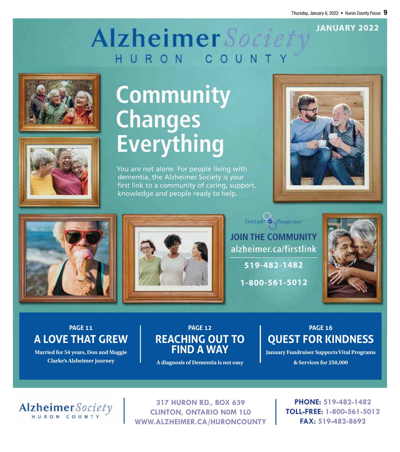**JANUARY 2022**

## Alzheimer Societ HURON COUN





# **Community Changes Everything**

You are not alone. For people living with dementia, the Alzheimer Society is your first link to a community of caring, support, knowledge and people ready to help.







 $\label{eq:trivial} First Link \leftarrow \clubsuit \textit{Premier} line.$ **JOIN THE COMMUNITY** alzheimer.ca/firstlink

**519-482-1482**

**1-800-561-5012**



PAGE 11<br>**A LOVE THAT GREW PAGE 11**

**Married for 54 years, Don and Maggie Clarke's Alzheimer journey**

## **PAGE 12 REACHING OUT TO FIND A WAY**

**A diagnosis of Dementia is not easy**

**PAGE 16 QUEST FOR KINDNESS**

**January Fundraiser Supports Vital Programs & Services for 250,000**



**317 HURON RD., BOX 639 CLINTON, ONTARIO N0M 1L0 WWW.ALZHEIMER.CA/HURONCOUNTY**

**PHONE: 519-482-1482 TOLL-FREE: 1-800-561-5012 FAX: 519-482-8692**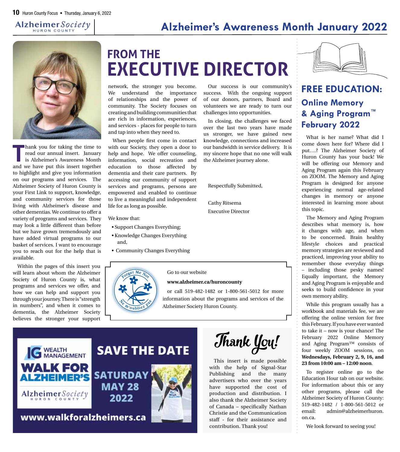## **Alzheimer's Awareness Month January 2022**

Our success is our community's success. With the ongoing support of our donors, partners, Board and volunteers we are ready to turn our

In closing, the challenges we faced over the last two years have made us stronger, we have gained new knowledge, connections and increased our bandwidth in service delivery. It is my sincere hope that no one will walk

challenges into opportunities.

the Alzheimer journey alone.

Respectfully Submitted,

Cathy Ritsema Executive Director



**T**hank you for taking the time to read our annual insert. January is Alzheimer's Awareness Month and we have put this insert together to highlight and give you information on our programs and services. The Alzheimer Society of Huron County is your First Link to support, knowledge, and community services for those living with Alzheimer's disease and other dementias. We continue to offer a variety of programs and services. They may look a little different than before but we have grown tremendously and have added virtual programs to our basket of services. I want to encourage you to reach out for the help that is available.

Within the pages of this insert you will learn about whom the Alzheimer Society of Huron County is, what programs and services we offer, and how we can help and support you through your journey. There is "strength in numbers", and when it comes to dementia, the Alzheimer Society believes the stronger your support

# **FROM THE EXECUTIVE DIRECTOR**

network, the stronger you become. We understand the importance of relationships and the power of community. The Society focuses on creating and building communities that are rich in information, experiences, and services - places for people to turn and tap into when they need to.

When people first come in contact with our Society, they open a door to help and hope. We offer counseling, information, social recreation and education to those affected by dementia and their care partners. By accessing our community of support services and programs, persons are empowered and enabled to continue to live a meaningful and independent life for as long as possible.

We know that:

- Support Changes Everything;
- Knowledge Changes Everything and,
- Community Changes Everything



Go to our website

#### **www.alzheimer.ca/huroncounty**

or call 519-482-1482 or 1-800-561-5012 for more information about the programs and services of the Alzheimer Society Huron County.





This insert is made possible with the help of Signal-Star Publishing and the many advertisers who over the years have supported the cost of production and distribution. I also thank the Alzheimer Society of Canada – specifically Nathan Christie and the Communication staff - for their assistance and contribution. Thank you!



### **FREE EDUCATION: Online Memory & Aging Program™ February 2022**

What is her name? What did I come down here for? Where did I put….? The Alzheimer Society of Huron County has your back! We will be offering our Memory and Aging Program again this February on ZOOM. The Memory and Aging Program is designed for anyone experiencing normal age-related changes in memory or anyone interested in learning more about this topic.

The Memory and Aging Program describes what memory is, how it changes with age, and when to be concerned. Brain healthy lifestyle choices and practical memory strategies are reviewed and practiced, improving your ability to remember those everyday things – including those pesky names! Equally important, the Memory and Aging Program is enjoyable and seeks to build confidence in your own memory ability.

While this program usually has a workbook and materials fee, we are offering the online version for free this February. If you have ever wanted to take it – now is your chance! The February 2022 Online Memory and Aging Program™ consists of four weekly ZOOM sessions, on **Wednesdays, February 2, 9, 16, and 23 from 10:00 am – 12:00 noon**.

To register online go to the Education Hour tab on our website. For information about this or any other programs, please call the Alzheimer Society of Huron County: 519-482-1482 / 1-800-561-5012 or email: admin@alzheimerhuron. on.ca.

We look forward to seeing you!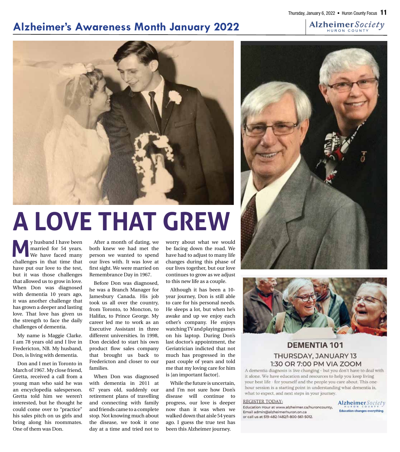## **Alzheimer's Awareness Month January 2022**



# **A LOVE THAT GREW**

**M**y husband I have been<br>married for 54 years.<br>We have faced many married for 54 years. We have faced many challenges in that time that have put our love to the test, but it was those challenges that allowed us to grow in love. When Don was diagnosed with dementia 10 years ago, it was another challenge that has grown a deeper and lasting love. That love has given us the strength to face the daily challenges of dementia.

My name is Maggie Clarke. I am 78 years old and I live in Fredericton, NB. My husband, Don, is living with dementia.

Don and I met in Toronto in March of 1967. My close friend, Gretta, received a call from a young man who said he was an encyclopedia salesperson. Gretta told him we weren't interested, but he thought he could come over to "practice" his sales pitch on us girls and bring along his roommates. One of them was Don.

After a month of dating, we both knew we had met the person we wanted to spend our lives with. It was love at first sight. We were married on Remembrance Day in 1967.

Before Don was diagnosed, he was a Branch Manager for Jamesbury Canada. His job took us all over the country, from Toronto, to Moncton, to Halifax, to Prince George. My career led me to work as an Executive Assistant in three different universities. In 1998, Don decided to start his own product flow sales company that brought us back to Fredericton and closer to our families.

When Don was diagnosed with dementia in 2011 at 67 years old, suddenly our retirement plans of travelling and connecting with family and friends came to a complete stop. Not knowing much about the disease, we took it one day at a time and tried not to

worry about what we would be facing down the road. We have had to adjust to many life changes during this phase of our lives together, but our love continues to grow as we adjust to this new life as a couple.

Although it has been a 10 year journey, Don is still able to care for his personal needs. He sleeps a lot, but when he's awake and up we enjoy each other's company. He enjoys watching TV and playing games on his laptop. During Don's last doctor's appointment, the Geriatrician indicted that not much has progressed in the past couple of years and told me that my loving care for him is [an important factor].

While the future is uncertain, and I'm not sure how Don's disease will continue to progress, our love is deeper now than it was when we walked down that aisle 54 years ago. I guess the true test has been this Alzheimer journey.





#### **DEMENTIA 101** THURSDAY, JANUARY 13 1:30 OR 7:00 PM VIA ZOOM

A dementia diagnosis is live changing - but you don't have to deal with it alone. We have education and resources to help you keep living your best life - for yourself and the people you care about. This onehour session is a starting point in understanding what dementia is, what to expect, and next steps in your journey.

#### **REGISTER TODAY:**

Education Hour at www.alzheimer.ca/huroncounty, Email admin@alzheimerhuron.on.ca or call us at 519-482-1482/1-800-561-5012.

Alzheimer Society **Education changes everything**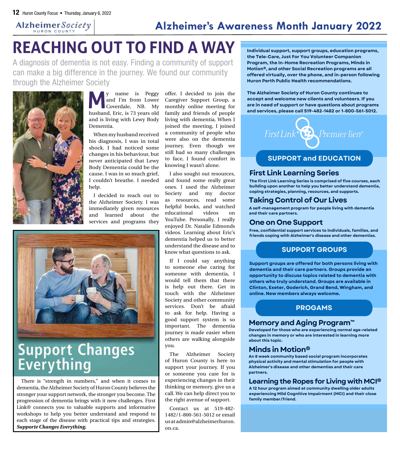

# **REACHING OUT TO FIND A WAY**

A diagnosis of dementia is not easy. Finding a community of support can make a big difference in the journey. We found our community through the Alzheimer Society



**M**y name is Peggy and I'm from Lower Coverdale, NB. My husband, Eric, is 73 years old and is living with Lewy Body Dementia.

When my husband received his diagnosis, I was in total shock. I had noticed some changes in his behaviour, but never anticipated that Lewy Body Dementia could be the cause. I was in so much grief, I couldn't breathe. I needed help.

I decided to reach out to the Alzheimer Society. I was immediately given resources and learned about the services and programs they



**Support Changes** Everything

There is "strength in numbers," and when it comes to dementia, the Alzheimer Society of Huron County believes the stronger your support network, the stronger you become. The progression of dementia brings with it new challenges. First Link® connects you to valuable supports and informative workshops to help you better understand and respond to each stage of the disease with practical tips and strategies. *Supporte Changes Everything.*

offer. I decided to join the Caregiver Support Group, a monthly online meeting for family and friends of people living with dementia. When I joined the meeting, I joined a community of people who were also on the dementia journey. Even though we still had so many challenges to face, I found comfort in knowing I wasn't alone.

I also sought out resources, and found some really great ones. I used the Alzheimer Society and my doctor as resources, read some helpful books, and watched educational videos on YouTube. Personally, I really enjoyed Dr. Natalie Edmonds videos. Learning about Eric's dementia helped us to better understand the disease and to know what questions to ask.

If I could say anything to someone else caring for someone with dementia, I would tell them that there is help out there. Get in touch with the Alzheimer Society and other community services. Don't be afraid to ask for help. Having a good support system is so important. The dementia journey is made easier when others are walking alongside you.

The Alzheimer Society of Huron County is here to support your journey. If you or someone you care for is experiencing changes in their thinking or memory, give us a call. We can help direct you to the right avenue of support.

Contact us at 519-482- 1482/1-800-561-5012 or email us at admin@alzheimerhuron. on.ca.

**Individual support, support groups, education programs, the Tele-Care, Just For You Volunteer Companion Program, the In-Home Recreation Programs, Minds in Motion®, and other Social Recreation programs are all offered virtually, over the phone, and in-person following Huron Perth Public Health recommendations.**

**The Alzheimer Society of Huron County continues to accept and welcome new clients and volunteers. If you are in need of support or have questions about programs and services, please call 519-482-1482 or 1-800-561-5012.**



#### **SUPPORT and EDUCATION**

#### **First Link Learning Series**

**The First Link Learning Series is comprised of five courses, each building upon another to help you better understand dementia, coping strategies, planning, resources, and supports.**

#### **Taking Control of Our Lives**

**A self-management program for people living with dementia and their care partners.**

#### **One on One Support**

**Free, confidential support services to individuals, families, and friends coping with Alzheimer's disease and other dementias.**

#### **SUPPORT GROUPS**

**Support groups are offered for both persons living with dementia and their care partners. Groups provide an opportunity to discuss topics related to dementia with others who truly understand. Groups are available in Clinton, Exeter, Goderich, Grand Bend, Wingham, and online. New members always welcome.**

#### **PROGAMS**

#### **Memory and Aging Program™**

**Developed for those who are experiencing normal age-related changes in memory or who are interested in learning more about this topic.**

#### **Minds in Motion®**

**An 8 week community based social program incorporates physical activity and mental stimulation for people with Alzheimer's disease and other dementias and their care partners.**

#### **Learningthe Ropes for Living with MCI®**

**A 12 hour program aimed at community dwelling older adults experiencing Mild Cognitive Impairment (MCI) and their close family member/friend.**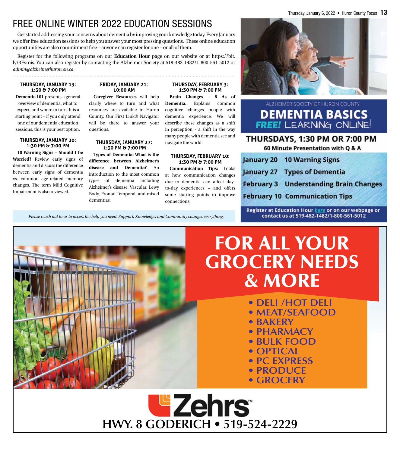## FREE ONLINE WINTER 2022 EDUCATION SESSIONS

Get started addressing your concerns about dementia by improving your knowledge today. Every January we offer free education sessions to help you answer your most pressing questions. These online education opportunities are also commitment free – anyone can register for one – or all of them.

Register for the following programs on our **Education Hour** page on our website or at https://bit. ly/3Fvrois. You can also register by contacting the Alzheimer Society at 519-482-1482/1-800-561-5012 or *admin@alzheimerhuron.on.ca*

#### **THURSDAY, JANUARY 13: 1:30 & 7:00 PM**

**Dementia 101** presents a general overview of dementia, what to expect, and where to turn. It is a starting point – if you only attend one of our dementia education sessions, this is your best option.

#### **THURSDAY, JANUARY 20: 1:30 PM & 7:00 PM**

**10 Warning Signs – Should I be Worried?** Review early signs of dementia and discuss the difference between early signs of dementia vs. common age-related memory changes. The term Mild Cognitive Impairment is also reviewed.

#### **FRIDAY, JANUARY 21: 10:00 AM**

**Caregiver Resources** will help clarify where to turn and what resources are available in Huron County. Our First Link® Navigator will be there to answer your questions.

#### **THURSDAY, JANUARY 27: 1:30 PM & 7:00 PM**

**Types of Dementia: What is the difference between Alzheimer's disease and Dementia?** An introduction to the most common types of dementia including Alzheimer's disease, Vascular, Lewy Body, Frontal Temporal, and mixed dementias.

#### **THURSDAY, FEBRUARY 3: 1:30 PM & 7:00 PM**

**Brain Changes – 8 As of Dementia.** Explains common cognitive changes people with dementia experience. We will describe these changes as a shift in perception - a shift in the way many people with dementia see and navigate the world.

#### **THURSDAY, FEBRUARY 10: 1:30 PM & 7:00 PM**

**Communication Tips:** Looks at how communication changes due to dementia can affect dayto-day experiences – and offers some starting points to improve connections.

Thursday, January 6, 2022 • Huron County Focus  $13$ 



#### ALZHEIMER SOCIETY OF HURON COUNTY **DEMENTIA BASICS FREE!** LEARNING ONLINE!

#### THURSDAYS, 1:30 PM OR 7:00 PM

60 Minute Presentation with Q & A

| anuary 20 10 Warning Signs                    |
|-----------------------------------------------|
| anuary 27 Types of Dementia                   |
| <b>February 3 Understanding Brain Changes</b> |
| <b>February 10 Communication Tips</b>         |

Register at Education Hour here or on our webpage or contact us at 519-482-1482/1-800-561-5012

*Please reach out to us to access the help you need. Support, Knowledge, and Community changes everything.* 



# FOR ALL YOUR GROCERY NEEDS & MORE

- **DELI /HOT DELI**
- **MEAT/SEAFOOD**
- **BAKERY**
- **PHARMACY**
- **BULK FOOD**
- **OPTICAL**
- **PC EXPRESS**
- **PRODUCE**
- **GROCERY**

**Ezehrs HWY. 8 GODERICH • 519-524-2229**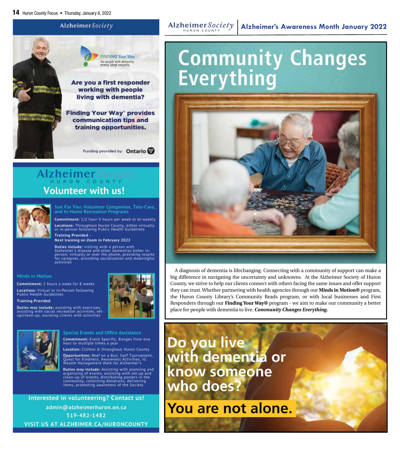

# Alzheimer Sacie **Volunteer with us!**



Just For You: Volunteer Companion, Tele-Care, and In-Home Recreation Programs

Commitment: 1/2 hour-3 hours per week or bi-weekly Locations: Throughout Huron County, either virtually<br>or in-person following Public Health Guidelines **Training Provided -**

Next training on Zoom in February 2022

Duties include: visiting with a person with<br>Alzheimer's disease and other dementias either in-<br>person, virtually or over the phone, providing respite for caregiver, providing socialization and meaningful activities

#### **Minds in Motion**

Commitment: 2 hours a week for 8 weeks Locations: Virtual or In-Person following<br>Public Health Guidelines

**Training Provided** 

Duties may include: assisting with exercises, assisting with social recreation activities, set-<br>up/clean-up, assisting clients with activities





**Special Events and Office Assistance** Commitment: Event Specific, Ranges from one hour to multiple times a year

Location: Clinton & throughout Huron County Opportunities: Beef on a Bun, Golf Tournament, .<br>Quest for Kindness, Awareness Activities, IG<br>Wealth Management Walk for Alzheimer's

Duties may include: Assisting with planning and **Duties may include:** Assisting with set-up and<br>organizing of events, assisting with set-up and<br>clean-up of events, distributing posters in the<br>community, collecting donations, delivering<br>items, promoting awareness of the

Interested in volunteering? Contact us! admin@alzheimerhuron.on.ca 519-482-1482 VISIT US AT ALZHEIMER.CA/HURONCOUNTY

#### Alzheimer Society

# **Community Changes**<br>Everything



A diagnosis of dementia is lifechanging. Connecting with a community of support can make a big difference in navigating the uncertainty and unknowns. At the Alzheimer Society of Huron County, we strive to help our clients connect with others facing the same issues and offer support they can trust. Whether partnering with health agencies through our **Minds in Motion®** program, the Huron County Library's Community Reads program, or with local businesses and First Responders through our **Finding Your Way®** program - we aim to make our community a better place for people with dementia to live. *Community Changes Everything.*

Do you live with dementia or know someone who does?

You are not alone.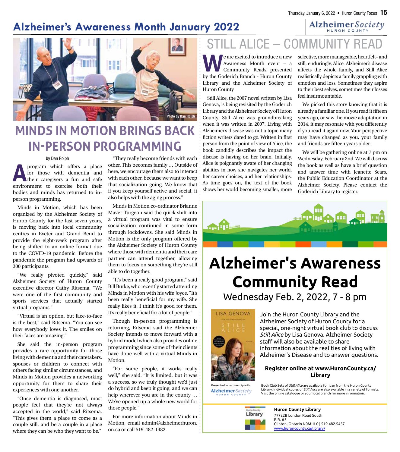## **Alzheimer's Awareness Month January 2022**



# **MINDS IN MOTION BRINGS BACK IN-PERSON PROGRAMMING**

#### by Dan Rolph

**A**program which offers a place<br>for those with dementia and<br>their caregivers a fun and safe for those with dementia and their caregivers a fun and safe environment to exercise both their bodies and minds has returned to inperson programming.

Minds in Motion, which has been organized by the Alzheimer Society of Huron County for the last seven years, is moving back into local community centres in Exeter and Grand Bend to provide the eight-week program after being shifted to an online format due to the COVID-19 pandemic. Before the pandemic the program had upwards of 300 participants.

"We really pivoted quickly," said Alzheimer Society of Huron County executive director Cathy Ritsema. "We were one of the first community and sports services that actually started virtual programs."

"Virtual is an option, but face-to-face is the best," said Ritsema. "You can see how everybody loves it. The smiles on their faces are amazing."

She said the in-person program provides a rare opportunity for those living with dementia and their caretakers, spouses or children to connect with others facing similar circumstances, and Minds in Motion provides a networking opportunity for them to share their experiences with one another.

"Once dementia is diagnosed, most people feel that they're not always accepted in the world," said Ritsema. "This gives them a place to come as a couple still, and be a couple in a place where they can be who they want to be."

"They really become friends with each other. This becomes family … Outside of here, we encourage them also to interact with each other, because we want to keep that socialization going. We know that if you keep yourself active and social, it also helps with the aging process."

Minds in Motion co-ordinator Brianne Maver-Turgeon said the quick shift into a virtual program was vital to ensure socialization continued in some form through lockdowns. She said Minds in Motion is the only program offered by the Alzheimer Society of Huron County where those with dementia and their care partner can attend together, allowing them to focus on something they're still able to do together.

"It's been a really good program," said Bill Burke, who recently started attending Minds in Motion with his wife Joyce. "It's been really beneficial for my wife. She really likes it. I think it's good for them. It's really beneficial for a lot of people."

Though in-person programming is returning, Ritsema said the Alzheimer Society intends to move forward with a hybrid model which also provides online programming since some of their clients have done well with a virtual Minds in Motion.

"For some people, it works really well," she said. "It is limited, but it was a success, so we truly thought we'd just do hybrid and keep it going, and we can help wherever you are in the county … We've opened up a whole new world for those people."

For more information about Minds in Motion, email admin@alzheimerhuron. on.ca or call 519-482-1482.

# ALICE – COMMUNIT

We are excited to introduce a new<br>
Mawareness Month event - a<br>
Community Reads presented<br>
Nu the Coderich Pranch Huren County Awareness Month event – a Community Reads presented by the Goderich Branch - Huron County Library and the Alzheimer Society of Huron County

Still Alice, the 2007 novel written by Lisa Genova, is being revisited by the Goderich Library and the Alzheimer Society of Huron County. Still Alice was groundbreaking when it was written in 2007. Living with Alzheimer's disease was not a topic many fiction writers dared to go. Written in first person from the point of view of Alice, the book candidly describes the impact the disease is having on her brain. Initially, Alice is poignantly aware of her changing abilities in how she navigates her world, her career choices, and her relationships. As time goes on, the text of the book shows her world becoming smaller, more

selective, more manageable, heartfelt– and still, enduringly, Alice. Alzheimer's disease affects the whole family, and Still Alice realistically depicts a family grappling with emotion and loss. Sometimes they aspire to their best selves, sometimes their losses feel insurmountable.

We picked this story knowing that it is already a familiar one. If you read it fifteen years ago, or saw the movie adaptation in 2014, it may resonate with you differently if you read it again now. Your perspective may have changed as you, your family and friends are fifteen years older.

We will be gathering online at 7 pm on Wednesday, February 2nd. We will discuss the book as well as have a brief question and answer time with Jeanette Sears, the Public Education Coordinator at the Alzheimer Society. Please contact the Goderich Library to register.



# **Alzheimer's Awareness Community Read**

Wednesday Feb. 2, 2022, 7 - 8 pm



Join the Huron County Library and the Alzheimer Society of Huron County for a special, one-night virtual book club to discuss *Still Alice* by Lisa Genova. Alzheimer Society staff will also be available to share information about the realities of living with Alzheimer's Disease and to answer questions.

#### **Register online at www.HuronCounty.ca/ Library**

Presented in partnership with: Alzheimer Society



Book Club Sets of *Still Alice* are available for loan from the Huron County Library. Individual copies of *Still Alice* are also available in a variety of formats. Visit the online catalogue or your local branch for more information.